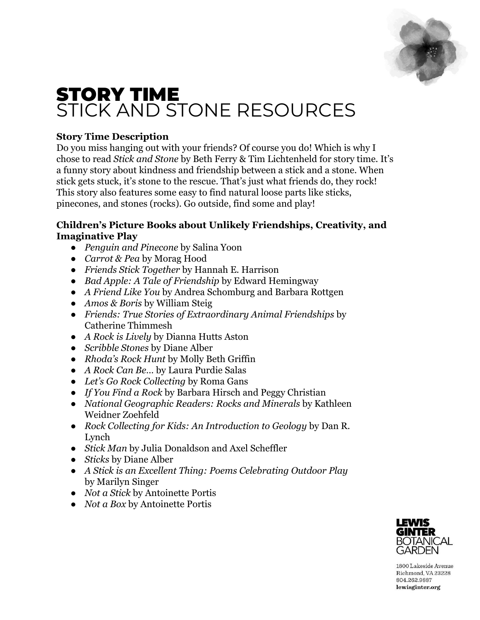

# STORY TIME STICK AND STONE RESOURCES

## **Story Time Description**

Do you miss hanging out with your friends? Of course you do! Which is why I chose to read *Stick and Stone* by Beth Ferry & Tim Lichtenheld for story time. It's a funny story about kindness and friendship between a stick and a stone. When stick gets stuck, it's stone to the rescue. That's just what friends do, they rock! This story also features some easy to find natural loose parts like sticks, pinecones, and stones (rocks). Go outside, find some and play!

## **Children's Picture Books about Unlikely Friendships, Creativity, and Imaginative Play**

- *Penguin and Pinecone* by Salina Yoon
- *Carrot & Pea* by Morag Hood
- *Friends Stick Together* by Hannah E. Harrison
- *Bad Apple: A Tale of Friendship* by Edward Hemingway
- *A Friend Like You* by Andrea Schomburg and Barbara Rottgen
- *Amos & Boris* by William Steig
- *Friends: True Stories of Extraordinary Animal Friendships* by Catherine Thimmesh
- *A Rock is Lively* by Dianna Hutts Aston
- *Scribble Stones* by Diane Alber
- *Rhoda's Rock Hunt* by Molly Beth Griffin
- *A Rock Can Be…* by Laura Purdie Salas
- *Let's Go Rock Collecting* by Roma Gans
- *If You Find a Rock* by Barbara Hirsch and Peggy Christian
- *National Geographic Readers: Rocks and Minerals* by Kathleen Weidner Zoehfeld
- *Rock Collecting for Kids: An Introduction to Geology* by Dan R. Lynch
- *Stick Man* by Julia Donaldson and Axel Scheffler
- *Sticks* by Diane Alber
- *A Stick is an Excellent Thing: Poems Celebrating Outdoor Play* by Marilyn Singer
- *Not a Stick* by Antoinette Portis
- *Not a Box* by Antoinette Portis



1800 Lakeside Avenue Richmond, VA 23228 804.262.9887 lewisginter.org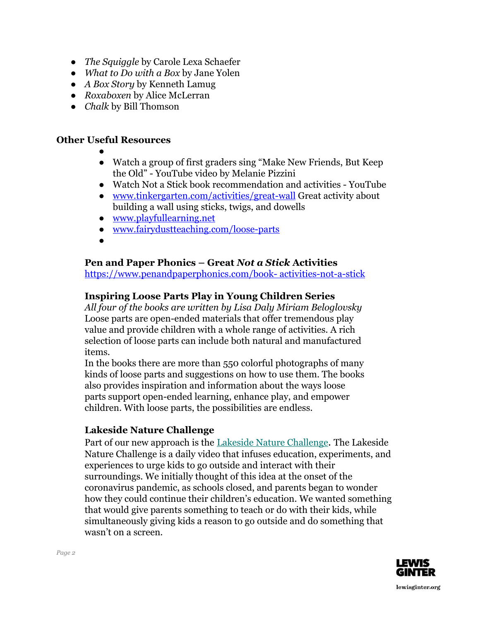- *The Squiggle* by Carole Lexa Schaefer
- *What to Do with a Box* by Jane Yolen
- *A Box Story* by Kenneth Lamug
- *Roxaboxen* by Alice McLerran
- *Chalk* by Bill Thomson

## **Other Useful Resources**

- ●
- Watch a group of first graders sing "Make New Friends, But Keep the Old" - YouTube video by Melanie Pizzini
- Watch Not a Stick book recommendation and activities YouTube
- [www.tinkergarten.com/activities/great-wall](http://www.tinkergarten.com/activities/great-wall) Great activity about building a wall using sticks, twigs, and dowells
- [www.playfullearning.net](http://www.playfullearning.net/)
- [www.fairydustteaching.com/loose-parts](http://www.fairydustteaching.com/loose-parts)
- ●

## **Pen and Paper Phonics – Great** *Not a Stick* **Activities**

https://www.penandpaperphonics.com/book- activities-not-a-stick

## **Inspiring Loose Parts Play in Young Children Series**

*All four of the books are written by Lisa Daly Miriam Beloglovsky* Loose parts are open-ended materials that offer tremendous play value and provide children with a whole range of activities. A rich selection of loose parts can include both natural and manufactured items.

In the books there are more than 550 colorful photographs of many kinds of loose parts and suggestions on how to use them. The books also provides inspiration and information about the ways loose parts support open-ended learning, enhance play, and empower children. With loose parts, the possibilities are endless.

## **Lakeside Nature Challenge**

Part of our new approach is the [Lakeside Nature Challenge](https://www.facebook.com/pg/LakesideLab). The Lakeside Nature Challenge is a daily video that infuses education, experiments, and experiences to urge kids to go outside and interact with their surroundings. We initially thought of this idea at the onset of the coronavirus pandemic, as schools closed, and parents began to wonder how they could continue their children's education. We wanted something that would give parents something to teach or do with their kids, while simultaneously giving kids a reason to go outside and do something that wasn't on a screen.

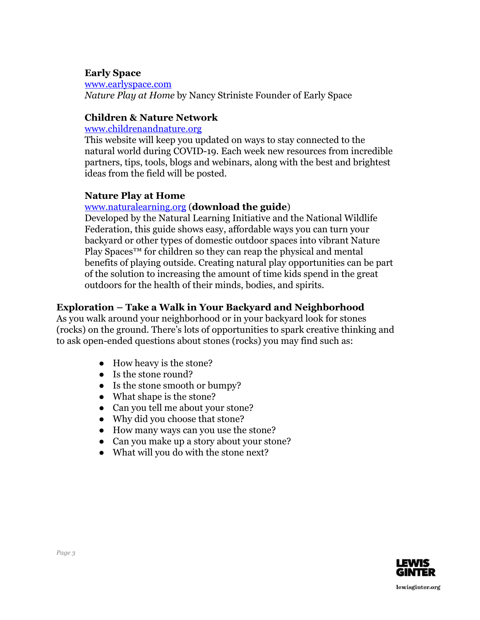#### **Early Space**

[www.earlyspace.com](http://www.earlyspace.com/) *Nature Play at Home* by Nancy Striniste Founder of Early Space

## **Children & Nature Network**

www.childrenandnature.org

This website will keep you updated on ways to stay connected to the natural world during COVID-19. Each week new resources from incredible partners, tips, tools, blogs and webinars, along with the best and brightest ideas from the field will be posted.

#### **Nature Play at Home**

#### [www.naturalearning.org](http://www.naturalearning.org/) (**download the guide**)

Developed by the Natural Learning Initiative and the [National Wildlife](https://www.nwf.org/Home/Kids-and-Family/Connecting-Kids-and-Nature) [Federation,](https://www.nwf.org/Home/Kids-and-Family/Connecting-Kids-and-Nature) this guide shows easy, affordable ways you can turn your backyard or other types of domestic outdoor spaces into vibrant Nature Play Spaces<sup>™</sup> for children so they can reap the physical and mental benefits of playing outside. Creating natural play opportunities can be part of the solution to increasing the amount of time kids spend in the great outdoors for the health of their minds, bodies, and spirits.

#### **Exploration – Take a Walk in Your Backyard and Neighborhood**

As you walk around your neighborhood or in your backyard look for stones (rocks) on the ground. There's lots of opportunities to spark creative thinking and to ask open-ended questions about stones (rocks) you may find such as:

- How heavy is the stone?
- Is the stone round?
- Is the stone smooth or bumpy?
- What shape is the stone?
- Can you tell me about your stone?
- Why did you choose that stone?
- How many ways can you use the stone?
- Can you make up a story about your stone?
- What will you do with the stone next?